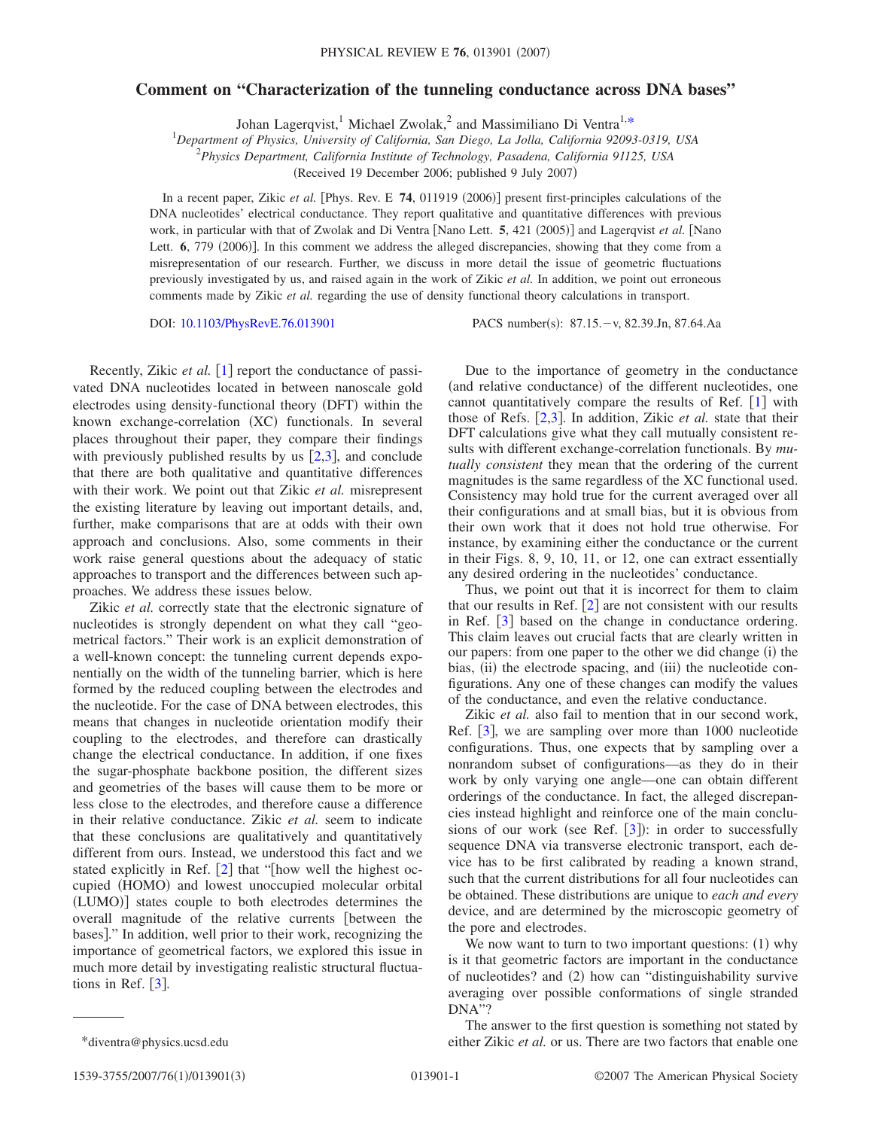## **Comment on "Characterization of the tunneling conductance across DNA bases"**

Johan Lagerqvist,<sup>1</sup> Michael Zwolak,<sup>2</sup> and Massimiliano Di Ventra<sup>1[,\\*](#page-0-0)</sup>

*Department of Physics, University of California, San Diego, La Jolla, California 92093-0319, USA*

2 *Physics Department, California Institute of Technology, Pasadena, California 91125, USA*

(Received 19 December 2006; published 9 July 2007)

In a recent paper, Zikic *et al.* [Phys. Rev. E 74, 011919 (2006)] present first-principles calculations of the DNA nucleotides' electrical conductance. They report qualitative and quantitative differences with previous work, in particular with that of Zwolak and Di Ventra [Nano Lett. 5, 421 (2005)] and Lagerqvist *et al.* [Nano Lett. **6**, 779 (2006)]. In this comment we address the alleged discrepancies, showing that they come from a misrepresentation of our research. Further, we discuss in more detail the issue of geometric fluctuations previously investigated by us, and raised again in the work of Zikic *et al.* In addition, we point out erroneous comments made by Zikic *et al.* regarding the use of density functional theory calculations in transport.

DOI: [10.1103/PhysRevE.76.013901](http://dx.doi.org/10.1103/PhysRevE.76.013901)

PACS number(s):  $87.15 - v$ ,  $82.39 \text{Jn}$ ,  $87.64 \text{Aa}$ 

Recently, Zikic *et al.* [[1](#page-2-0)] report the conductance of passivated DNA nucleotides located in between nanoscale gold electrodes using density-functional theory (DFT) within the known exchange-correlation (XC) functionals. In several places throughout their paper, they compare their findings with previously published results by us  $[2,3]$  $[2,3]$  $[2,3]$  $[2,3]$ , and conclude that there are both qualitative and quantitative differences with their work. We point out that Zikic *et al.* misrepresent the existing literature by leaving out important details, and, further, make comparisons that are at odds with their own approach and conclusions. Also, some comments in their work raise general questions about the adequacy of static approaches to transport and the differences between such approaches. We address these issues below.

Zikic *et al.* correctly state that the electronic signature of nucleotides is strongly dependent on what they call "geometrical factors." Their work is an explicit demonstration of a well-known concept: the tunneling current depends exponentially on the width of the tunneling barrier, which is here formed by the reduced coupling between the electrodes and the nucleotide. For the case of DNA between electrodes, this means that changes in nucleotide orientation modify their coupling to the electrodes, and therefore can drastically change the electrical conductance. In addition, if one fixes the sugar-phosphate backbone position, the different sizes and geometries of the bases will cause them to be more or less close to the electrodes, and therefore cause a difference in their relative conductance. Zikic *et al.* seem to indicate that these conclusions are qualitatively and quantitatively different from ours. Instead, we understood this fact and we stated explicitly in Ref.  $[2]$  $[2]$  $[2]$  that "[how well the highest occupied (HOMO) and lowest unoccupied molecular orbital (LUMO)] states couple to both electrodes determines the overall magnitude of the relative currents [between the bases]." In addition, well prior to their work, recognizing the importance of geometrical factors, we explored this issue in much more detail by investigating realistic structural fluctuations in Ref.  $\lceil 3 \rceil$  $\lceil 3 \rceil$  $\lceil 3 \rceil$ .

Thus, we point out that it is incorrect for them to claim that our results in Ref.  $\lceil 2 \rceil$  $\lceil 2 \rceil$  $\lceil 2 \rceil$  are not consistent with our results in Ref.  $\lceil 3 \rceil$  $\lceil 3 \rceil$  $\lceil 3 \rceil$  based on the change in conductance ordering. This claim leaves out crucial facts that are clearly written in our papers: from one paper to the other we did change (i) the bias, (ii) the electrode spacing, and (iii) the nucleotide configurations. Any one of these changes can modify the values of the conductance, and even the relative conductance.

Zikic *et al.* also fail to mention that in our second work, Ref.  $[3]$  $[3]$  $[3]$ , we are sampling over more than 1000 nucleotide configurations. Thus, one expects that by sampling over a nonrandom subset of configurations—as they do in their work by only varying one angle—one can obtain different orderings of the conductance. In fact, the alleged discrepancies instead highlight and reinforce one of the main conclusions of our work (see Ref.  $[3]$  $[3]$  $[3]$ ): in order to successfully sequence DNA via transverse electronic transport, each device has to be first calibrated by reading a known strand, such that the current distributions for all four nucleotides can be obtained. These distributions are unique to *each and every* device, and are determined by the microscopic geometry of the pore and electrodes.

We now want to turn to two important questions: (1) why is it that geometric factors are important in the conductance of nucleotides? and (2) how can "distinguishability survive averaging over possible conformations of single stranded DNA"?

<span id="page-0-0"></span>The answer to the first question is something not stated by \*diventra@physics.ucsd.edu either Zikic *et al.* or us. There are two factors that enable one

Due to the importance of geometry in the conductance (and relative conductance) of the different nucleotides, one cannot quantitatively compare the results of Ref.  $\lceil 1 \rceil$  $\lceil 1 \rceil$  $\lceil 1 \rceil$  with those of Refs.  $[2,3]$  $[2,3]$  $[2,3]$  $[2,3]$ . In addition, Zikic *et al.* state that their DFT calculations give what they call mutually consistent results with different exchange-correlation functionals. By *mutually consistent* they mean that the ordering of the current magnitudes is the same regardless of the XC functional used. Consistency may hold true for the current averaged over all their configurations and at small bias, but it is obvious from their own work that it does not hold true otherwise. For instance, by examining either the conductance or the current in their Figs. 8, 9, 10, 11, or 12, one can extract essentially any desired ordering in the nucleotides' conductance.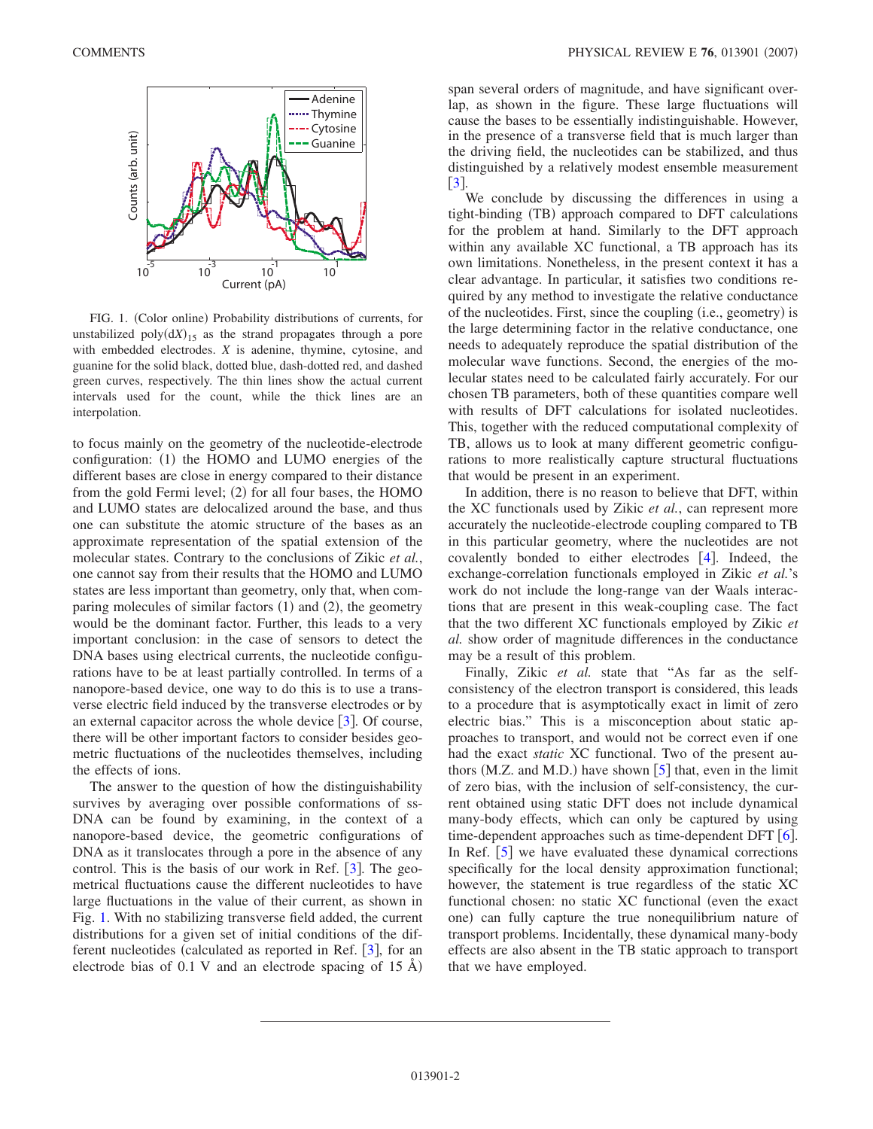<span id="page-1-0"></span>

FIG. 1. (Color online) Probability distributions of currents, for unstabilized  $poly(dX)_{15}$  as the strand propagates through a pore with embedded electrodes. *X* is adenine, thymine, cytosine, and guanine for the solid black, dotted blue, dash-dotted red, and dashed green curves, respectively. The thin lines show the actual current intervals used for the count, while the thick lines are an interpolation.

to focus mainly on the geometry of the nucleotide-electrode configuration: (1) the HOMO and LUMO energies of the different bases are close in energy compared to their distance from the gold Fermi level; (2) for all four bases, the HOMO and LUMO states are delocalized around the base, and thus one can substitute the atomic structure of the bases as an approximate representation of the spatial extension of the molecular states. Contrary to the conclusions of Zikic *et al.*, one cannot say from their results that the HOMO and LUMO states are less important than geometry, only that, when comparing molecules of similar factors (1) and (2), the geometry would be the dominant factor. Further, this leads to a very important conclusion: in the case of sensors to detect the DNA bases using electrical currents, the nucleotide configurations have to be at least partially controlled. In terms of a nanopore-based device, one way to do this is to use a transverse electric field induced by the transverse electrodes or by an external capacitor across the whole device  $\left[3\right]$  $\left[3\right]$  $\left[3\right]$ . Of course, there will be other important factors to consider besides geometric fluctuations of the nucleotides themselves, including the effects of ions.

The answer to the question of how the distinguishability survives by averaging over possible conformations of ss-DNA can be found by examining, in the context of a nanopore-based device, the geometric configurations of DNA as it translocates through a pore in the absence of any control. This is the basis of our work in Ref.  $\lceil 3 \rceil$  $\lceil 3 \rceil$  $\lceil 3 \rceil$ . The geometrical fluctuations cause the different nucleotides to have large fluctuations in the value of their current, as shown in Fig. [1.](#page-1-0) With no stabilizing transverse field added, the current distributions for a given set of initial conditions of the different nucleotides (calculated as reported in Ref.  $\lceil 3 \rceil$  $\lceil 3 \rceil$  $\lceil 3 \rceil$ , for an electrode bias of 0.1 V and an electrode spacing of 15 Å)

span several orders of magnitude, and have significant overlap, as shown in the figure. These large fluctuations will cause the bases to be essentially indistinguishable. However, in the presence of a transverse field that is much larger than the driving field, the nucleotides can be stabilized, and thus distinguished by a relatively modest ensemble measurement  $|3|$  $|3|$  $|3|$ .

We conclude by discussing the differences in using a tight-binding (TB) approach compared to DFT calculations for the problem at hand. Similarly to the DFT approach within any available XC functional, a TB approach has its own limitations. Nonetheless, in the present context it has a clear advantage. In particular, it satisfies two conditions required by any method to investigate the relative conductance of the nucleotides. First, since the coupling (i.e., geometry) is the large determining factor in the relative conductance, one needs to adequately reproduce the spatial distribution of the molecular wave functions. Second, the energies of the molecular states need to be calculated fairly accurately. For our chosen TB parameters, both of these quantities compare well with results of DFT calculations for isolated nucleotides. This, together with the reduced computational complexity of TB, allows us to look at many different geometric configurations to more realistically capture structural fluctuations that would be present in an experiment.

In addition, there is no reason to believe that DFT, within the XC functionals used by Zikic *et al.*, can represent more accurately the nucleotide-electrode coupling compared to TB in this particular geometry, where the nucleotides are not covalently bonded to either electrodes  $[4]$  $[4]$  $[4]$ . Indeed, the exchange-correlation functionals employed in Zikic *et al.*'s work do not include the long-range van der Waals interactions that are present in this weak-coupling case. The fact that the two different XC functionals employed by Zikic *et al.* show order of magnitude differences in the conductance may be a result of this problem.

Finally, Zikic *et al.* state that "As far as the selfconsistency of the electron transport is considered, this leads to a procedure that is asymptotically exact in limit of zero electric bias." This is a misconception about static approaches to transport, and would not be correct even if one had the exact *static* XC functional. Two of the present authors (M.Z. and M.D.) have shown  $[5]$  $[5]$  $[5]$  that, even in the limit of zero bias, with the inclusion of self-consistency, the current obtained using static DFT does not include dynamical many-body effects, which can only be captured by using time-dependent approaches such as time-dependent DFT  $[6]$  $[6]$  $[6]$ . In Ref.  $\lceil 5 \rceil$  $\lceil 5 \rceil$  $\lceil 5 \rceil$  we have evaluated these dynamical corrections specifically for the local density approximation functional; however, the statement is true regardless of the static XC functional chosen: no static XC functional (even the exact one) can fully capture the true nonequilibrium nature of transport problems. Incidentally, these dynamical many-body effects are also absent in the TB static approach to transport that we have employed.